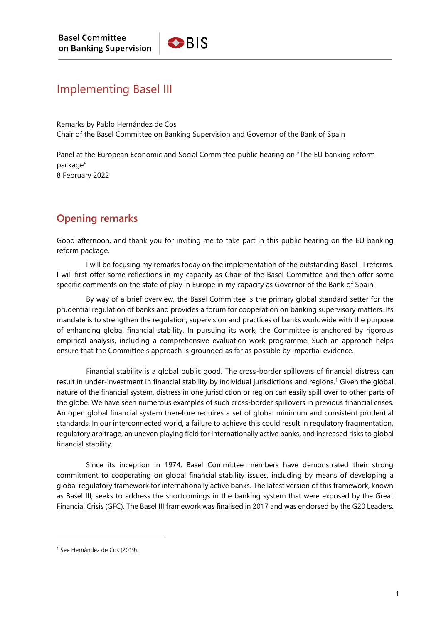

## Implementing Basel III

Remarks by Pablo Hernández de Cos Chair of the Basel Committee on Banking Supervision and Governor of the Bank of Spain

Panel at the European Economic and Social Committee public hearing on "The EU banking reform package" 8 February 2022

## **Opening remarks**

Good afternoon, and thank you for inviting me to take part in this public hearing on the EU banking reform package.

I will be focusing my remarks today on the implementation of the outstanding Basel III reforms. I will first offer some reflections in my capacity as Chair of the Basel Committee and then offer some specific comments on the state of play in Europe in my capacity as Governor of the Bank of Spain.

By way of a brief overview, the Basel Committee is the primary global standard setter for the prudential regulation of banks and provides a forum for cooperation on banking supervisory matters. Its mandate is to strengthen the regulation, supervision and practices of banks worldwide with the purpose of enhancing global financial stability. In pursuing its work, the Committee is anchored by rigorous empirical analysis, including a comprehensive evaluation work programme. Such an approach helps ensure that the Committee's approach is grounded as far as possible by impartial evidence.

Financial stability is a global public good. The cross-border spillovers of financial distress can result in under-investment in financial stability by individual jurisdictions and regions.<sup>1</sup> Given the global nature of the financial system, distress in one jurisdiction or region can easily spill over to other parts of the globe. We have seen numerous examples of such cross-border spillovers in previous financial crises. An open global financial system therefore requires a set of global minimum and consistent prudential standards. In our interconnected world, a failure to achieve this could result in regulatory fragmentation, regulatory arbitrage, an uneven playing field for internationally active banks, and increased risks to global financial stability.

Since its inception in 1974, Basel Committee members have demonstrated their strong commitment to cooperating on global financial stability issues, including by means of developing a global regulatory framework for internationally active banks. The latest version of this framework, known as Basel III, seeks to address the shortcomings in the banking system that were exposed by the Great Financial Crisis (GFC). The Basel III framework was finalised in 2017 and was endorsed by the G20 Leaders.

<sup>&</sup>lt;sup>1</sup> See Hernández de Cos (2019).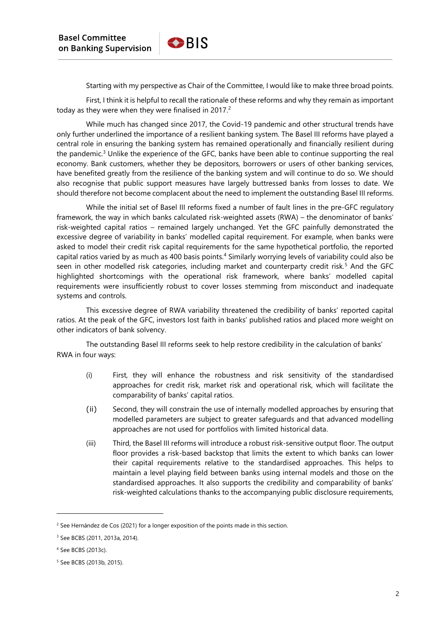Starting with my perspective as Chair of the Committee, I would like to make three broad points.

First, I think it is helpful to recall the rationale of these reforms and why they remain as important today as they were when they were finalised in  $2017<sup>2</sup>$ 

 $\bigodot$  RIS

While much has changed since 2017, the Covid-19 pandemic and other structural trends have only further underlined the importance of a resilient banking system. The Basel III reforms have played a central role in ensuring the banking system has remained operationally and financially resilient during the pandemic.<sup>3</sup> Unlike the experience of the GFC, banks have been able to continue supporting the real economy. Bank customers, whether they be depositors, borrowers or users of other banking services, have benefited greatly from the resilience of the banking system and will continue to do so. We should also recognise that public support measures have largely buttressed banks from losses to date. We should therefore not become complacent about the need to implement the outstanding Basel III reforms.

While the initial set of Basel III reforms fixed a number of fault lines in the pre-GFC regulatory framework, the way in which banks calculated risk-weighted assets (RWA) – the denominator of banks' risk-weighted capital ratios – remained largely unchanged. Yet the GFC painfully demonstrated the excessive degree of variability in banks' modelled capital requirement. For example, when banks were asked to model their credit risk capital requirements for the same hypothetical portfolio, the reported capital ratios varied by as much as 400 basis points.<sup>4</sup> Similarly worrying levels of variability could also be seen in other modelled risk categories, including market and counterparty credit risk.<sup>5</sup> And the GFC highlighted shortcomings with the operational risk framework, where banks' modelled capital requirements were insufficiently robust to cover losses stemming from misconduct and inadequate systems and controls.

This excessive degree of RWA variability threatened the credibility of banks' reported capital ratios. At the peak of the GFC, investors lost faith in banks' published ratios and placed more weight on other indicators of bank solvency.

The outstanding Basel III reforms seek to help restore credibility in the calculation of banks' RWA in four ways:

- (i) First, they will enhance the robustness and risk sensitivity of the standardised approaches for credit risk, market risk and operational risk, which will facilitate the comparability of banks' capital ratios.
- (ii) Second, they will constrain the use of internally modelled approaches by ensuring that modelled parameters are subject to greater safeguards and that advanced modelling approaches are not used for portfolios with limited historical data.
- (iii) Third, the Basel III reforms will introduce a robust risk-sensitive output floor. The output floor provides a risk-based backstop that limits the extent to which banks can lower their capital requirements relative to the standardised approaches. This helps to maintain a level playing field between banks using internal models and those on the standardised approaches. It also supports the credibility and comparability of banks' risk-weighted calculations thanks to the accompanying public disclosure requirements,

 $2$  See Hernández de Cos (2021) for a longer exposition of the points made in this section.

<sup>&</sup>lt;sup>3</sup> See BCBS (2011, 2013a, 2014).

<sup>4</sup> See BCBS (2013c).

<sup>5</sup> See BCBS (2013b, 2015).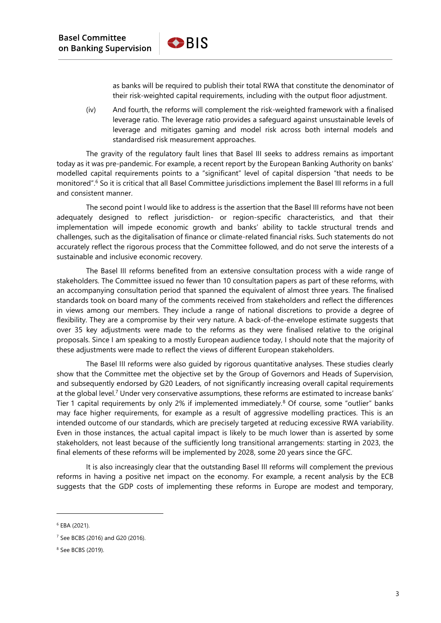$\bigodot$  RIS

as banks will be required to publish their total RWA that constitute the denominator of their risk-weighted capital requirements, including with the output floor adjustment.

(iv) And fourth, the reforms will complement the risk-weighted framework with a finalised leverage ratio. The leverage ratio provides a safeguard against unsustainable levels of leverage and mitigates gaming and model risk across both internal models and standardised risk measurement approaches.

The gravity of the regulatory fault lines that Basel III seeks to address remains as important today as it was pre-pandemic. For example, a recent report by the European Banking Authority on banks' modelled capital requirements points to a "significant" level of capital dispersion "that needs to be monitored". <sup>6</sup> So it is critical that all Basel Committee jurisdictions implement the Basel III reforms in a full and consistent manner.

The second point I would like to address is the assertion that the Basel III reforms have not been adequately designed to reflect jurisdiction- or region-specific characteristics, and that their implementation will impede economic growth and banks' ability to tackle structural trends and challenges, such as the digitalisation of finance or climate-related financial risks. Such statements do not accurately reflect the rigorous process that the Committee followed, and do not serve the interests of a sustainable and inclusive economic recovery.

The Basel III reforms benefited from an extensive consultation process with a wide range of stakeholders. The Committee issued no fewer than 10 consultation papers as part of these reforms, with an accompanying consultation period that spanned the equivalent of almost three years. The finalised standards took on board many of the comments received from stakeholders and reflect the differences in views among our members. They include a range of national discretions to provide a degree of flexibility. They are a compromise by their very nature. A back-of-the-envelope estimate suggests that over 35 key adjustments were made to the reforms as they were finalised relative to the original proposals. Since I am speaking to a mostly European audience today, I should note that the majority of these adjustments were made to reflect the views of different European stakeholders.

The Basel III reforms were also guided by rigorous quantitative analyses. These studies clearly show that the Committee met the objective set by the Group of Governors and Heads of Supervision, and subsequently endorsed by G20 Leaders, of not significantly increasing overall capital requirements at the global level.<sup>7</sup> Under very conservative assumptions, these reforms are estimated to increase banks' Tier 1 capital requirements by only 2% if implemented immediately.<sup>8</sup> Of course, some "outlier" banks may face higher requirements, for example as a result of aggressive modelling practices. This is an intended outcome of our standards, which are precisely targeted at reducing excessive RWA variability. Even in those instances, the actual capital impact is likely to be much lower than is asserted by some stakeholders, not least because of the sufficiently long transitional arrangements: starting in 2023, the final elements of these reforms will be implemented by 2028, some 20 years since the GFC.

It is also increasingly clear that the outstanding Basel III reforms will complement the previous reforms in having a positive net impact on the economy. For example, a recent analysis by the ECB suggests that the GDP costs of implementing these reforms in Europe are modest and temporary,

 $6$  EBA (2021).

<sup>7</sup> See BCBS (2016) and G20 (2016).

<sup>8</sup> See BCBS (2019).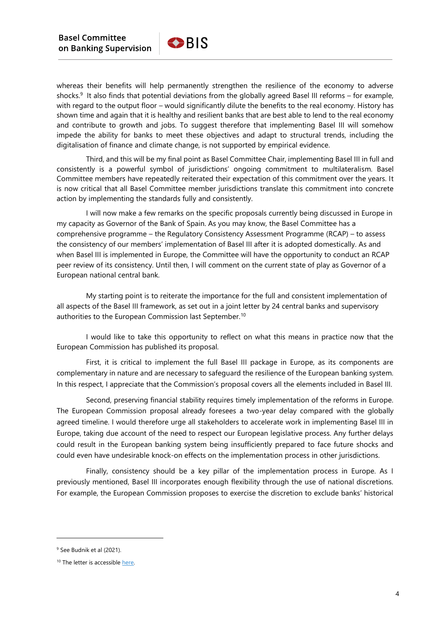$\bigodot$  RIS

whereas their benefits will help permanently strengthen the resilience of the economy to adverse shocks.<sup>9</sup> It also finds that potential deviations from the globally agreed Basel III reforms – for example, with regard to the output floor – would significantly dilute the benefits to the real economy. History has shown time and again that it is healthy and resilient banks that are best able to lend to the real economy and contribute to growth and jobs. To suggest therefore that implementing Basel III will somehow impede the ability for banks to meet these objectives and adapt to structural trends, including the digitalisation of finance and climate change, is not supported by empirical evidence.

Third, and this will be my final point as Basel Committee Chair, implementing Basel III in full and consistently is a powerful symbol of jurisdictions' ongoing commitment to multilateralism. Basel Committee members have repeatedly reiterated their expectation of this commitment over the years. It is now critical that all Basel Committee member jurisdictions translate this commitment into concrete action by implementing the standards fully and consistently.

I will now make a few remarks on the specific proposals currently being discussed in Europe in my capacity as Governor of the Bank of Spain. As you may know, the Basel Committee has a comprehensive programme – the Regulatory Consistency Assessment Programme (RCAP) – to assess the consistency of our members' implementation of Basel III after it is adopted domestically. As and when Basel III is implemented in Europe, the Committee will have the opportunity to conduct an RCAP peer review of its consistency. Until then, I will comment on the current state of play as Governor of a European national central bank.

My starting point is to reiterate the importance for the full and consistent implementation of all aspects of the Basel III framework, as set out in a joint letter by 24 central banks and supervisory authorities to the European Commission last September.<sup>10</sup>

I would like to take this opportunity to reflect on what this means in practice now that the European Commission has published its proposal.

First, it is critical to implement the full Basel III package in Europe, as its components are complementary in nature and are necessary to safeguard the resilience of the European banking system. In this respect, I appreciate that the Commission's proposal covers all the elements included in Basel III.

Second, preserving financial stability requires timely implementation of the reforms in Europe. The European Commission proposal already foresees a two-year delay compared with the globally agreed timeline. I would therefore urge all stakeholders to accelerate work in implementing Basel III in Europe, taking due account of the need to respect our European legislative process. Any further delays could result in the European banking system being insufficiently prepared to face future shocks and could even have undesirable knock-on effects on the implementation process in other jurisdictions.

Finally, consistency should be a key pillar of the implementation process in Europe. As I previously mentioned, Basel III incorporates enough flexibility through the use of national discretions. For example, the European Commission proposes to exercise the discretion to exclude banks' historical

<sup>&</sup>lt;sup>9</sup> See Budnik et al (2021).

<sup>&</sup>lt;sup>10</sup> The letter is accessible here.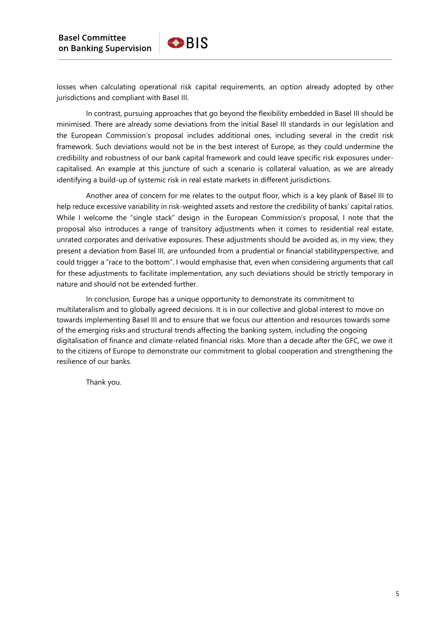losses when calculating operational risk capital requirements, an option already adopted by other jurisdictions and compliant with Basel III.

 $\bigodot$  RIS

In contrast, pursuing approaches that go beyond the flexibility embedded in Basel III should be minimised. There are already some deviations from the initial Basel III standards in our legislation and the European Commission's proposal includes additional ones, including several in the credit risk framework. Such deviations would not be in the best interest of Europe, as they could undermine the credibility and robustness of our bank capital framework and could leave specific risk exposures undercapitalised. An example at this juncture of such a scenario is collateral valuation, as we are already identifying a build-up of systemic risk in real estate markets in different jurisdictions.

Another area of concern for me relates to the output floor, which is a key plank of Basel III to help reduce excessive variability in risk-weighted assets and restore the credibility of banks' capital ratios. While I welcome the "single stack" design in the European Commission's proposal, I note that the proposal also introduces a range of transitory adjustments when it comes to residential real estate, unrated corporates and derivative exposures. These adjustments should be avoided as, in my view, they present a deviation from Basel III, are unfounded from a prudential or financial stabilityperspective, and could trigger a "race to the bottom". I would emphasise that, even when considering arguments that call for these adjustments to facilitate implementation, any such deviations should be strictly temporary in nature and should not be extended further.

In conclusion, Europe has a unique opportunity to demonstrate its commitment to multilateralism and to globally agreed decisions. It is in our collective and global interest to move on towards implementing Basel III and to ensure that we focus our attention and resources towards some of the emerging risks and structural trends affecting the banking system, including the ongoing digitalisation of finance and climate-related financial risks. More than a decade after the GFC, we owe it to the citizens of Europe to demonstrate our commitment to global cooperation and strengthening the resilience of our banks.

Thank you.